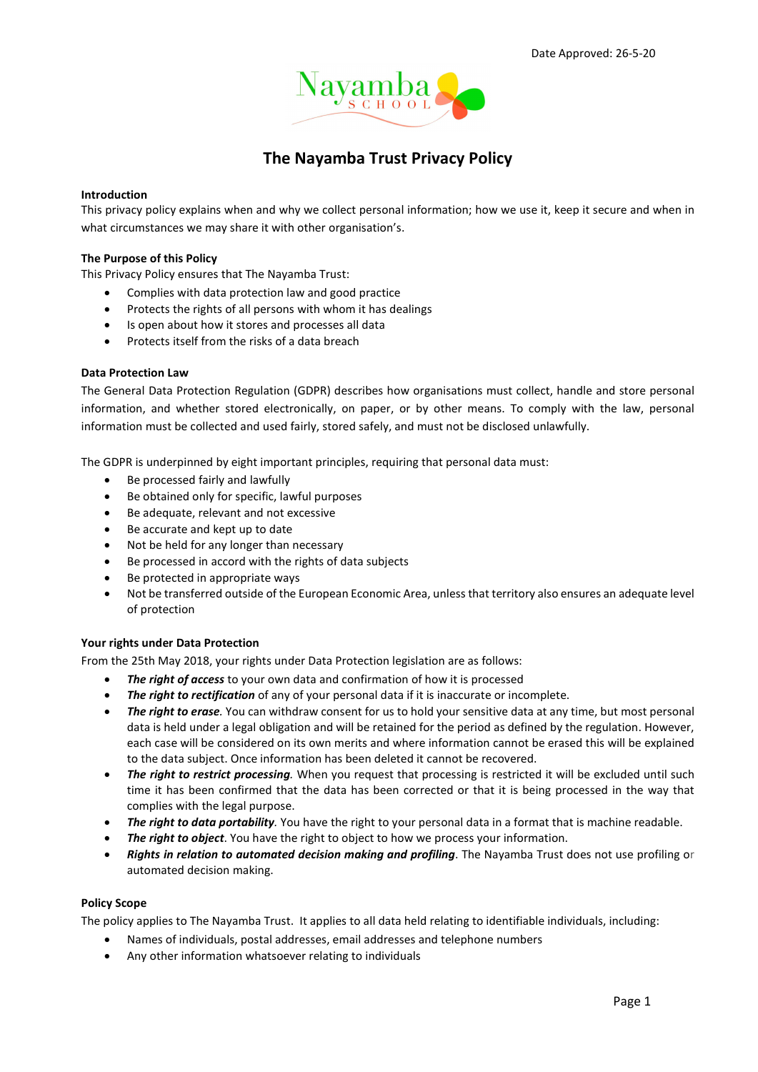

# The Nayamba Trust Privacy Policy

#### Introduction

This privacy policy explains when and why we collect personal information; how we use it, keep it secure and when in what circumstances we may share it with other organisation's.

#### The Purpose of this Policy

This Privacy Policy ensures that The Nayamba Trust:

- Complies with data protection law and good practice
- Protects the rights of all persons with whom it has dealings
- Is open about how it stores and processes all data
- Protects itself from the risks of a data breach

### Data Protection Law

The General Data Protection Regulation (GDPR) describes how organisations must collect, handle and store personal information, and whether stored electronically, on paper, or by other means. To comply with the law, personal information must be collected and used fairly, stored safely, and must not be disclosed unlawfully.

The GDPR is underpinned by eight important principles, requiring that personal data must:

- Be processed fairly and lawfully
- Be obtained only for specific, lawful purposes
- Be adequate, relevant and not excessive
- Be accurate and kept up to date
- Not be held for any longer than necessary
- Be processed in accord with the rights of data subjects
- Be protected in appropriate ways
- Not be transferred outside of the European Economic Area, unless that territory also ensures an adequate level of protection

### Your rights under Data Protection

From the 25th May 2018, your rights under Data Protection legislation are as follows:

- The right of access to your own data and confirmation of how it is processed
- The right to rectification of any of your personal data if it is inaccurate or incomplete.
- The right to erase. You can withdraw consent for us to hold your sensitive data at any time, but most personal data is held under a legal obligation and will be retained for the period as defined by the regulation. However, each case will be considered on its own merits and where information cannot be erased this will be explained to the data subject. Once information has been deleted it cannot be recovered.
- The right to restrict processing. When you request that processing is restricted it will be excluded until such time it has been confirmed that the data has been corrected or that it is being processed in the way that complies with the legal purpose.
- The right to data portability. You have the right to your personal data in a format that is machine readable.
- The right to object. You have the right to object to how we process your information.
- Rights in relation to automated decision making and profiling. The Nayamba Trust does not use profiling or automated decision making.

### Policy Scope

The policy applies to The Nayamba Trust. It applies to all data held relating to identifiable individuals, including:

- Names of individuals, postal addresses, email addresses and telephone numbers
- Any other information whatsoever relating to individuals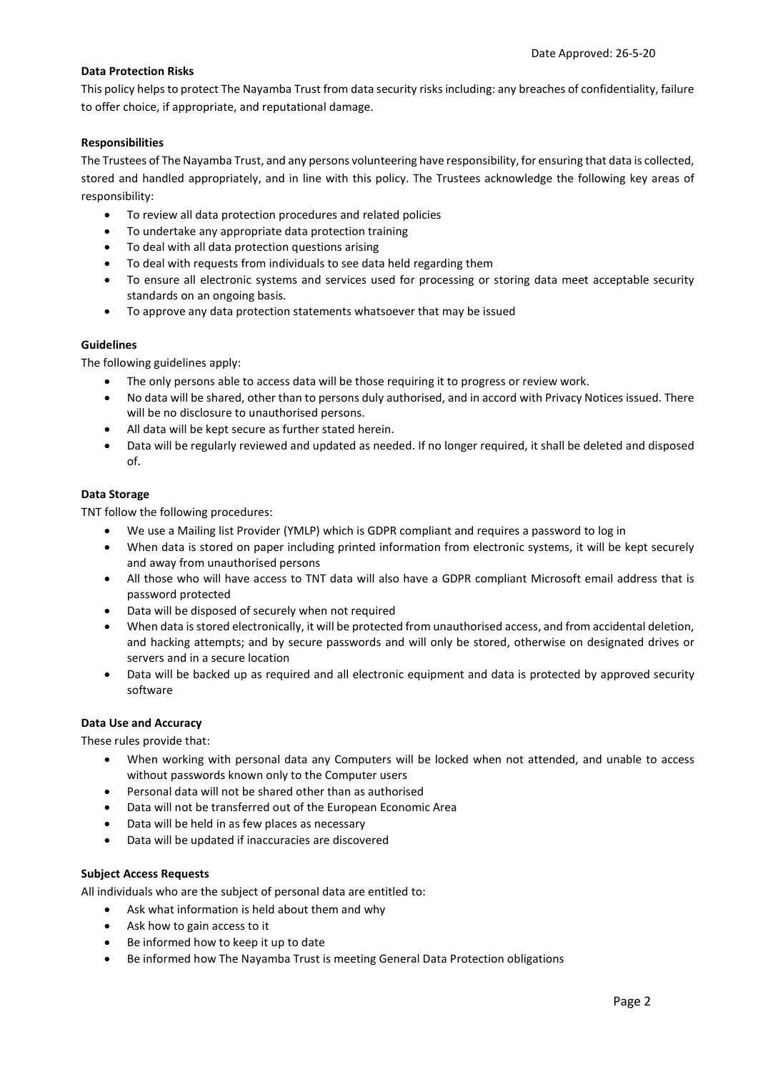# Data Protection Risks

This policy helps to protect The Nayamba Trust from data security risks including: any breaches of confidentiality, failure to offer choice, if appropriate, and reputational damage.

## Responsibilities

The Trustees of The Nayamba Trust, and any persons volunteering have responsibility, for ensuring that data is collected, stored and handled appropriately, and in line with this policy. The Trustees acknowledge the following key areas of responsibility:

- To review all data protection procedures and related policies
- To undertake any appropriate data protection training
- To deal with all data protection questions arising
- To deal with requests from individuals to see data held regarding them
- To ensure all electronic systems and services used for processing or storing data meet acceptable security standards on an ongoing basis.
- To approve any data protection statements whatsoever that may be issued

### Guidelines

The following guidelines apply:

- The only persons able to access data will be those requiring it to progress or review work.
- No data will be shared, other than to persons duly authorised, and in accord with Privacy Notices issued. There will be no disclosure to unauthorised persons.
- All data will be kept secure as further stated herein.
- Data will be regularly reviewed and updated as needed. If no longer required, it shall be deleted and disposed of.

### Data Storage

TNT follow the following procedures:

- We use a Mailing list Provider (YMLP) which is GDPR compliant and requires a password to log in
- When data is stored on paper including printed information from electronic systems, it will be kept securely and away from unauthorised persons
- All those who will have access to TNT data will also have a GDPR compliant Microsoft email address that is password protected
- Data will be disposed of securely when not required
- When data is stored electronically, it will be protected from unauthorised access, and from accidental deletion, and hacking attempts; and by secure passwords and will only be stored, otherwise on designated drives or servers and in a secure location
- Data will be backed up as required and all electronic equipment and data is protected by approved security software

### Data Use and Accuracy

These rules provide that:

- When working with personal data any Computers will be locked when not attended, and unable to access without passwords known only to the Computer users
- Personal data will not be shared other than as authorised
- Data will not be transferred out of the European Economic Area
- Data will be held in as few places as necessary
- Data will be updated if inaccuracies are discovered

### Subject Access Requests

All individuals who are the subject of personal data are entitled to:

- Ask what information is held about them and why
- Ask how to gain access to it
- Be informed how to keep it up to date
- Be informed how The Nayamba Trust is meeting General Data Protection obligations